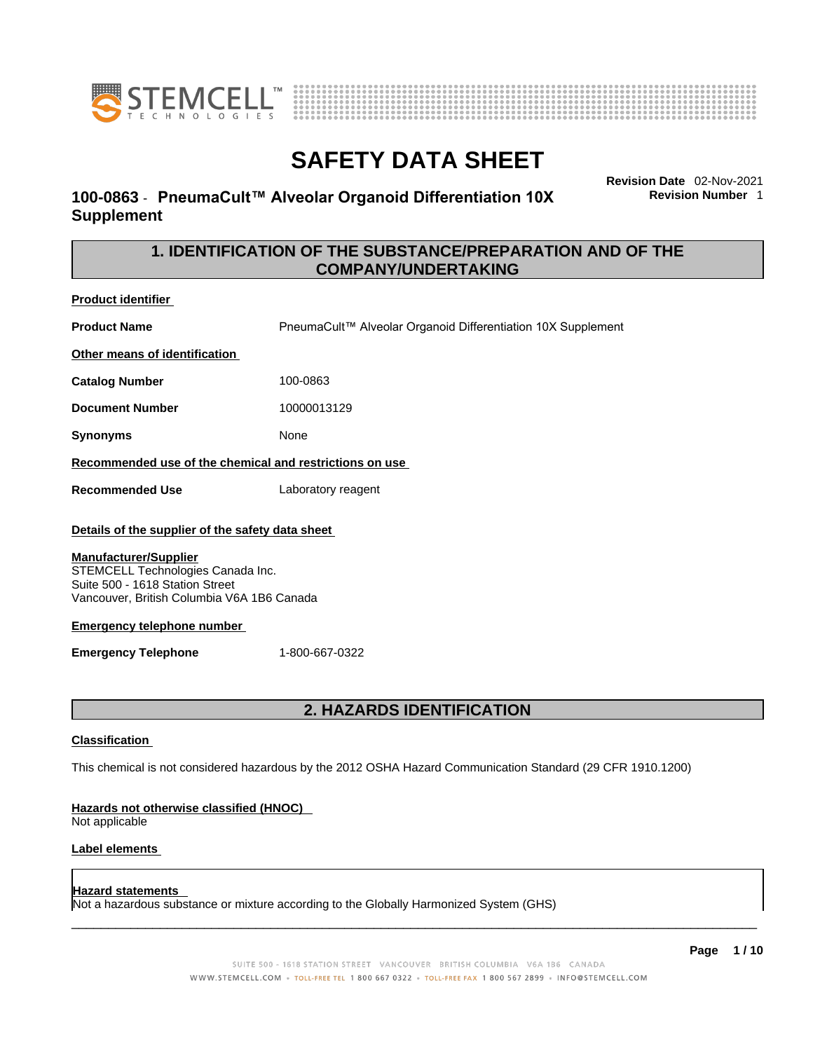



## **100-0863** - **PneumaCult™ Alveolar Organoid Differentiation 10X Supplement**

**Revision Date** 02-Nov-2021 **Revision Number** 1

## **1. IDENTIFICATION OF THE SUBSTANCE/PREPARATION AND OF THE COMPANY/UNDERTAKING**

**Product identifier Product Name** PneumaCult™ Alveolar Organoid Differentiation 10X Supplement **Other means of identification Catalog Number** 100-0863 **Document Number** 10000013129 **Synonyms** None **Recommended use of the chemical and restrictions on use Recommended Use** Laboratory reagent **Details of the supplier of the safety data sheet Emergency telephone number Emergency Telephone** 1-800-667-0322 **Manufacturer/Supplier** STEMCELL Technologies Canada Inc. Suite 500 - 1618 Station Street Vancouver, British Columbia V6A 1B6 Canada

## **2. HAZARDS IDENTIFICATION**

## **Classification**

This chemical is not considered hazardous by the 2012 OSHA Hazard Communication Standard (29 CFR 1910.1200)

### **Hazards not otherwise classified (HNOC)**

Not applicable

### **Label elements**

### **Hazard statements**

Not a hazardous substance or mixture according to the Globally Harmonized System (GHS)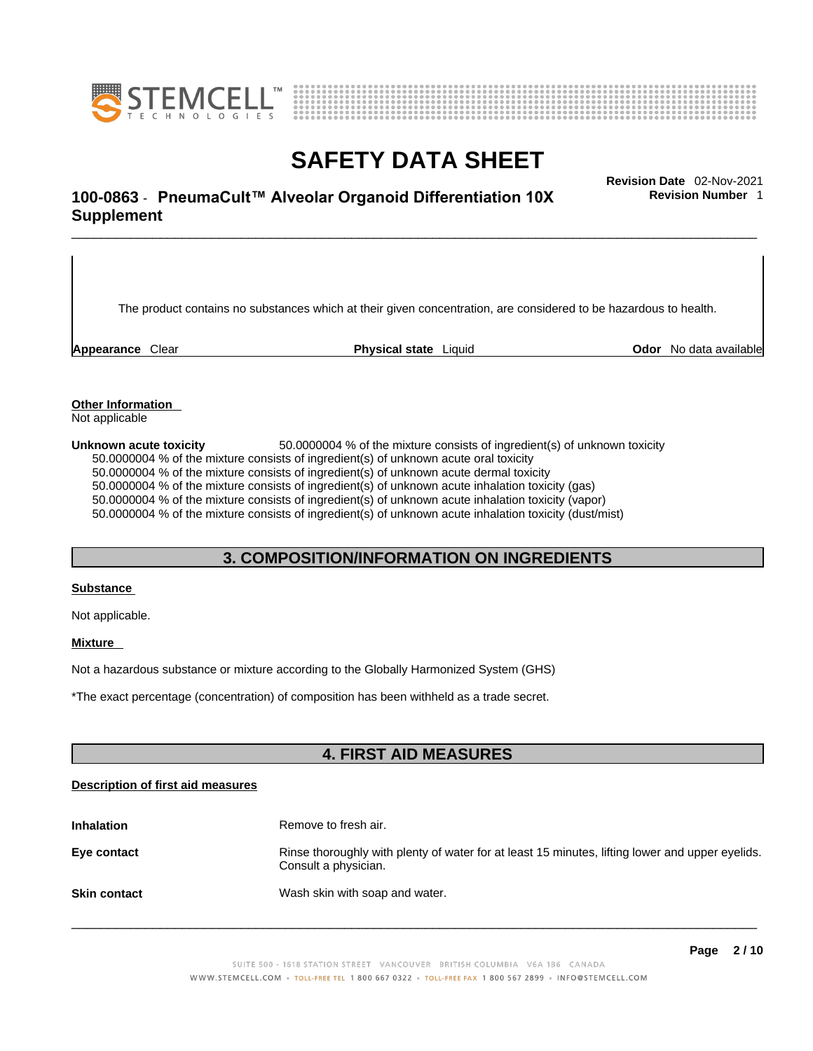



# \_\_\_\_\_\_\_\_\_\_\_\_\_\_\_\_\_\_\_\_\_\_\_\_\_\_\_\_\_\_\_\_\_\_\_\_\_\_\_\_\_\_\_\_\_\_\_\_\_\_\_\_\_\_\_\_\_\_\_\_\_\_\_\_\_\_\_\_\_\_\_\_\_\_\_\_\_\_\_\_\_\_\_\_\_\_\_\_\_\_\_\_\_ **Revision Date** 02-Nov-2021 **100-0863** - **PneumaCult™ Alveolar Organoid Differentiation 10X Supplement**

The product contains no substances which at their given concentration, are considered to be hazardous to health.

**Appearance** Clear **Physical state** Liquid **Odor** No data available

**Revision Number** 1

**Other Information**  Not applicable

**Unknown acute toxicity** 50.0000004 % of the mixtureconsists of ingredient(s) of unknown toxicity 50.0000004 % of the mixture consists of ingredient(s) of unknown acute oral toxicity  $50.0000004$  % of the mixture consists of ingredient(s) of unknown acute dermal toxicity 50.0000004 % of the mixture consists of ingredient(s) of unknown acute inhalation toxicity (gas) 50.0000004 % of the mixture consists of ingredient(s) of unknown acute inhalation toxicity (vapor) 50.0000004 % of the mixture consists of ingredient(s) of unknown acute inhalation toxicity (dust/mist)

## **3. COMPOSITION/INFORMATION ON INGREDIENTS**

### **Substance**

Not applicable.

### **Mixture**

Not a hazardous substance or mixture according to the Globally Harmonized System (GHS)

\*The exact percentage (concentration) ofcomposition has been withheld as a trade secret.

## **4. FIRST AID MEASURES**

### **Description of first aid measures**

| <b>Inhalation</b>   | Remove to fresh air.                                                                                                    |
|---------------------|-------------------------------------------------------------------------------------------------------------------------|
| Eye contact         | Rinse thoroughly with plenty of water for at least 15 minutes, lifting lower and upper eyelids.<br>Consult a physician. |
| <b>Skin contact</b> | Wash skin with soap and water.                                                                                          |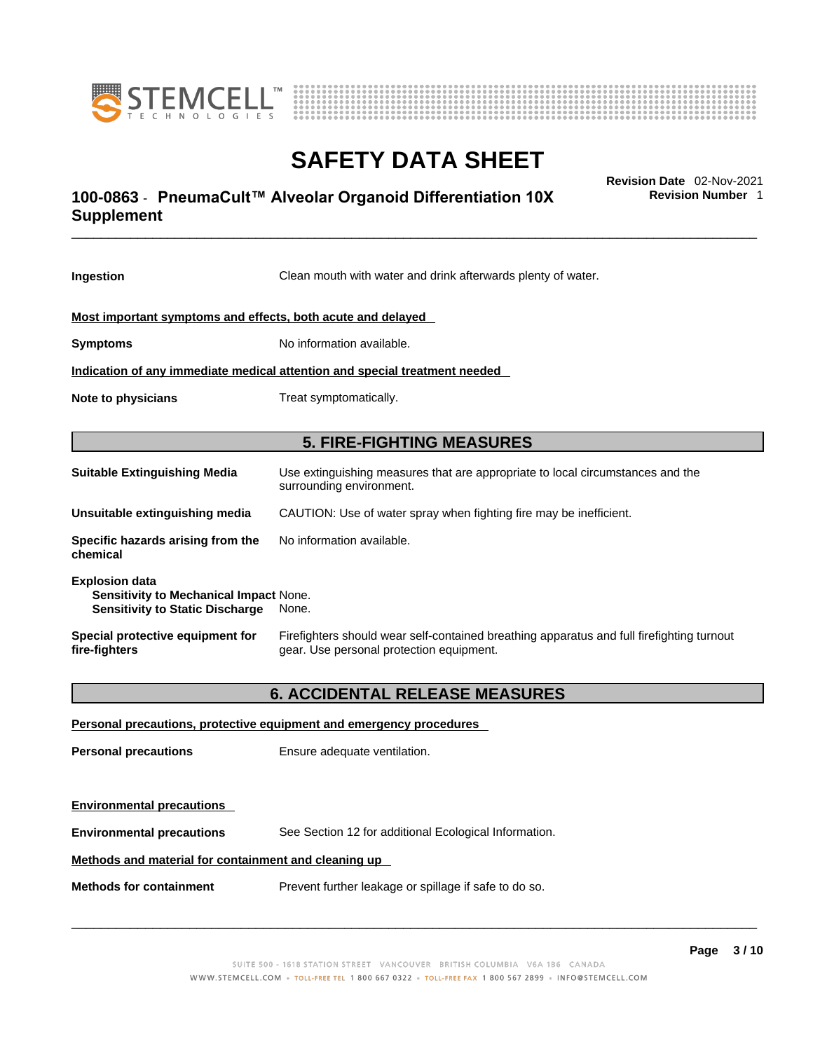



# \_\_\_\_\_\_\_\_\_\_\_\_\_\_\_\_\_\_\_\_\_\_\_\_\_\_\_\_\_\_\_\_\_\_\_\_\_\_\_\_\_\_\_\_\_\_\_\_\_\_\_\_\_\_\_\_\_\_\_\_\_\_\_\_\_\_\_\_\_\_\_\_\_\_\_\_\_\_\_\_\_\_\_\_\_\_\_\_\_\_\_\_\_ **Revision Date** 02-Nov-2021 **100-0863** - **PneumaCult™ Alveolar Organoid Differentiation 10X Supplement**

**Ingestion** Clean mouth with water and drink afterwards plenty of water. **Most important symptoms and effects, both acute and delayed Symptoms** No information available. **Indication of any immediate medical attention and special treatment needed Note to physicians** Treat symptomatically. **5. FIRE-FIGHTING MEASURES Suitable Extinguishing Media** Use extinguishing measures that are appropriate to local circumstances and the surrounding environment. **Unsuitable extinguishing media** CAUTION: Use of water spray when fighting fire may be inefficient. **Specific hazards arising from the chemical** No information available. **Explosion data Sensitivity to Mechanical Impact** None. **Sensitivity to Static Discharge** None. **Special protective equipment for fire-fighters** Firefighters should wear self-contained breathing apparatus and full firefighting turnout gear. Use personal protection equipment. **6. ACCIDENTAL RELEASE MEASURES Personal precautions, protective equipment and emergency procedures Personal precautions** Ensure adequate ventilation.

**Environmental precautions** See Section 12 for additional Ecological Information.

## **Methods and material for containment and cleaning up**

**Methods for containment** Prevent further leakage or spillage if safe to do so.

**Environmental precautions** 

 $\_$  ,  $\_$  ,  $\_$  ,  $\_$  ,  $\_$  ,  $\_$  ,  $\_$  ,  $\_$  ,  $\_$  ,  $\_$  ,  $\_$  ,  $\_$  ,  $\_$  ,  $\_$  ,  $\_$  ,  $\_$  ,  $\_$  ,  $\_$  ,  $\_$  ,  $\_$  ,  $\_$  ,  $\_$  ,  $\_$  ,  $\_$  ,  $\_$  ,  $\_$  ,  $\_$  ,  $\_$  ,  $\_$  ,  $\_$  ,  $\_$  ,  $\_$  ,  $\_$  ,  $\_$  ,  $\_$  ,  $\_$  ,  $\_$  ,

**Revision Number** 1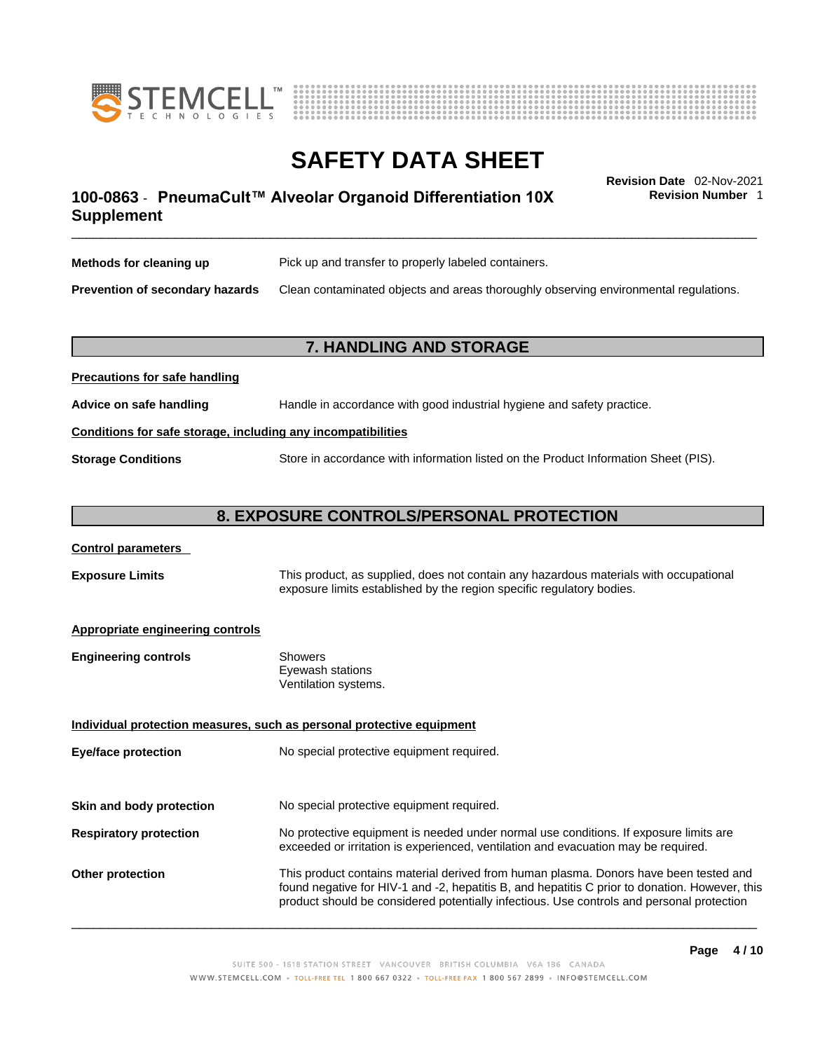



# \_\_\_\_\_\_\_\_\_\_\_\_\_\_\_\_\_\_\_\_\_\_\_\_\_\_\_\_\_\_\_\_\_\_\_\_\_\_\_\_\_\_\_\_\_\_\_\_\_\_\_\_\_\_\_\_\_\_\_\_\_\_\_\_\_\_\_\_\_\_\_\_\_\_\_\_\_\_\_\_\_\_\_\_\_\_\_\_\_\_\_\_\_ **Revision Date** 02-Nov-2021 **100-0863** - **PneumaCult™ Alveolar Organoid Differentiation 10X Supplement**

**Revision Number** 1

| Methods for cleaning up         | Pick up and transfer to properly labeled containers.                                 |
|---------------------------------|--------------------------------------------------------------------------------------|
| Prevention of secondary hazards | Clean contaminated objects and areas thoroughly observing environmental regulations. |

## **7. HANDLING AND STORAGE**

| <b>FIGURIOUS IOI SAIG HAHUIHIY</b>                           |                                                                                     |  |
|--------------------------------------------------------------|-------------------------------------------------------------------------------------|--|
| Advice on safe handling                                      | Handle in accordance with good industrial hygiene and safety practice.              |  |
| Conditions for safe storage, including any incompatibilities |                                                                                     |  |
| <b>Storage Conditions</b>                                    | Store in accordance with information listed on the Product Information Sheet (PIS). |  |

## **8. EXPOSURE CONTROLS/PERSONAL PROTECTION**

### **Control parameters**

**Precautions for safe handling**

**Exposure Limits** This product, as supplied, does not contain any hazardous materials with occupational exposure limits established by the region specific regulatory bodies.

### **Appropriate engineering controls**

| <b>Engineering controls</b> | Showers              |
|-----------------------------|----------------------|
|                             | Eyewash stations     |
|                             | Ventilation systems. |

**Eye/face protection** No special protective equipment required.

**Individual protection measures, such as personal protective equipment**

**Skin and body protection** No special protective equipment required.

# **Respiratory protection** No protective equipment is needed under normal use conditions. If exposure limits are exceeded or irritation is experienced, ventilation and evacuation may be required.

**Other protection** This product contains material derived from human plasma. Donors have been tested and found negative for HIV-1 and -2, hepatitis B, and hepatitis C prior to donation. However, this product should be considered potentially infectious. Use controls and personal protection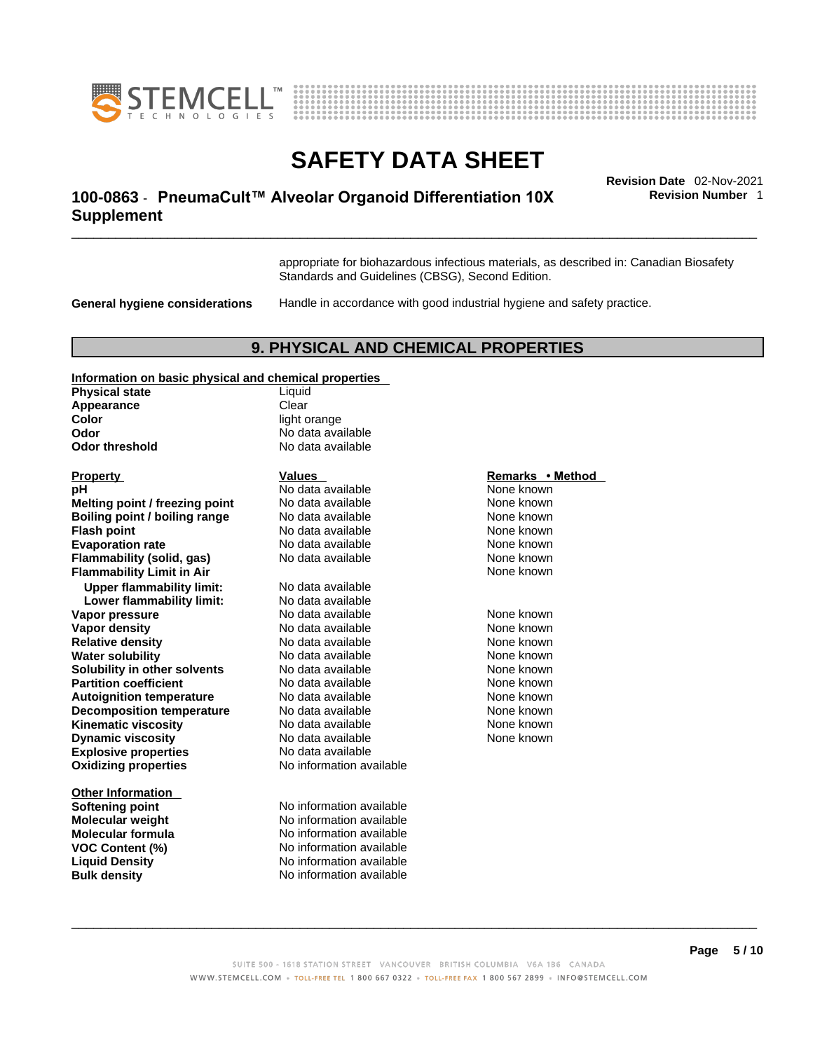



# \_\_\_\_\_\_\_\_\_\_\_\_\_\_\_\_\_\_\_\_\_\_\_\_\_\_\_\_\_\_\_\_\_\_\_\_\_\_\_\_\_\_\_\_\_\_\_\_\_\_\_\_\_\_\_\_\_\_\_\_\_\_\_\_\_\_\_\_\_\_\_\_\_\_\_\_\_\_\_\_\_\_\_\_\_\_\_\_\_\_\_\_\_ **Revision Date** 02-Nov-2021 **100-0863** - **PneumaCult™ Alveolar Organoid Differentiation 10X Supplement**

**Revision Number** 1

appropriate for biohazardous infectious materials, as described in: Canadian Biosafety Standards and Guidelines (CBSG), Second Edition.

**General hygiene considerations** Handle in accordance with good industrial hygiene and safety practice.

## **9. PHYSICAL AND CHEMICAL PROPERTIES**

#### **Information on basic physical and chemical properties**

| <b>Physical state</b>            | Liquid                   |                  |
|----------------------------------|--------------------------|------------------|
| Appearance                       | Clear                    |                  |
| Color                            | light orange             |                  |
| Odor                             | No data available        |                  |
| <b>Odor threshold</b>            | No data available        |                  |
| <b>Property</b>                  | <b>Values</b>            | Remarks • Method |
| pH                               | No data available        | None known       |
| Melting point / freezing point   | No data available        | None known       |
| Boiling point / boiling range    | No data available        | None known       |
| <b>Flash point</b>               | No data available        | None known       |
| <b>Evaporation rate</b>          | No data available        | None known       |
| <b>Flammability (solid, gas)</b> | No data available        | None known       |
| <b>Flammability Limit in Air</b> |                          | None known       |
| <b>Upper flammability limit:</b> | No data available        |                  |
| Lower flammability limit:        | No data available        |                  |
| Vapor pressure                   | No data available        | None known       |
| <b>Vapor density</b>             | No data available        | None known       |
| <b>Relative density</b>          | No data available        | None known       |
| <b>Water solubility</b>          | No data available        | None known       |
| Solubility in other solvents     | No data available        | None known       |
| <b>Partition coefficient</b>     | No data available        | None known       |
| <b>Autoignition temperature</b>  | No data available        | None known       |
| <b>Decomposition temperature</b> | No data available        | None known       |
| <b>Kinematic viscosity</b>       | No data available        | None known       |
| <b>Dynamic viscosity</b>         | No data available        | None known       |
| <b>Explosive properties</b>      | No data available        |                  |
| <b>Oxidizing properties</b>      | No information available |                  |
| <b>Other Information</b>         |                          |                  |
| <b>Softening point</b>           | No information available |                  |
| <b>Molecular weight</b>          | No information available |                  |
| <b>Molecular formula</b>         | No information available |                  |
| <b>VOC Content (%)</b>           | No information available |                  |
| <b>Liquid Density</b>            | No information available |                  |
| <b>Bulk density</b>              | No information available |                  |

## **Remarks • Method Physical available 12 Contract Available Available Available Available Available Available Available Available**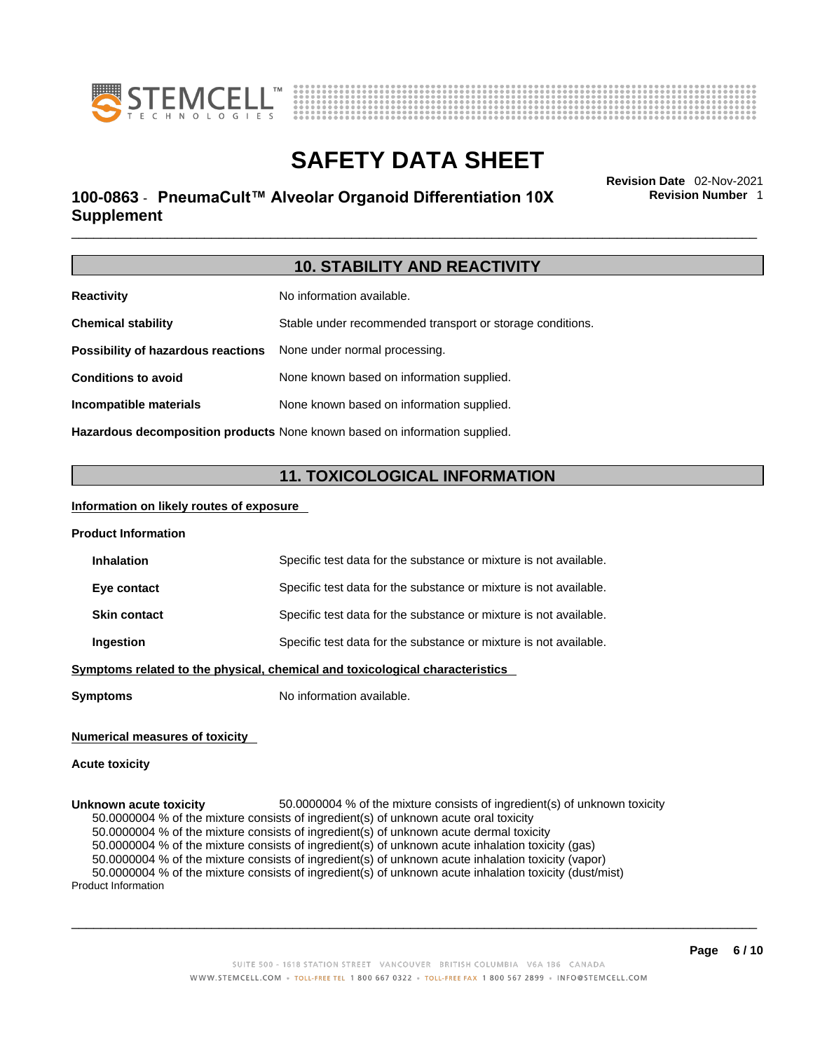



# \_\_\_\_\_\_\_\_\_\_\_\_\_\_\_\_\_\_\_\_\_\_\_\_\_\_\_\_\_\_\_\_\_\_\_\_\_\_\_\_\_\_\_\_\_\_\_\_\_\_\_\_\_\_\_\_\_\_\_\_\_\_\_\_\_\_\_\_\_\_\_\_\_\_\_\_\_\_\_\_\_\_\_\_\_\_\_\_\_\_\_\_\_ **Revision Date** 02-Nov-2021 **100-0863** - **PneumaCult™ Alveolar Organoid Differentiation 10X Supplement**

**Revision Number** 1

|                                    | <b>10. STABILITY AND REACTIVITY</b>                                               |
|------------------------------------|-----------------------------------------------------------------------------------|
| <b>Reactivity</b>                  | No information available.                                                         |
| <b>Chemical stability</b>          | Stable under recommended transport or storage conditions.                         |
| Possibility of hazardous reactions | None under normal processing.                                                     |
| <b>Conditions to avoid</b>         | None known based on information supplied.                                         |
| Incompatible materials             | None known based on information supplied.                                         |
|                                    | <b>Hazardous decomposition products</b> None known based on information supplied. |

**11. TOXICOLOGICAL INFORMATION** 

## **Information on likely routes of exposure**

**Symptoms** No information available.

| <b>Product Information</b> |                                                                              |  |
|----------------------------|------------------------------------------------------------------------------|--|
| <b>Inhalation</b>          | Specific test data for the substance or mixture is not available.            |  |
| Eye contact                | Specific test data for the substance or mixture is not available.            |  |
| <b>Skin contact</b>        | Specific test data for the substance or mixture is not available.            |  |
| Ingestion                  | Specific test data for the substance or mixture is not available.            |  |
|                            | Symptoms related to the physical, chemical and toxicological characteristics |  |
|                            |                                                                              |  |

## **Numerical measures of toxicity**

## **Acute toxicity**

**Unknown acute toxicity** 50.0000004 % of the mixtureconsists of ingredient(s) of unknown toxicity 50.0000004 % of the mixture consists of ingredient(s) of unknown acute oral toxicity 50.0000004 % of the mixture consists of ingredient(s) of unknown acute dermal toxicity 50.0000004 % of the mixture consists of ingredient(s) of unknown acute inhalation toxicity (gas) 50.0000004 % of the mixture consists of ingredient(s) of unknown acute inhalation toxicity (vapor) 50.0000004 % of the mixture consists of ingredient(s) of unknown acute inhalation toxicity (dust/mist) Product Information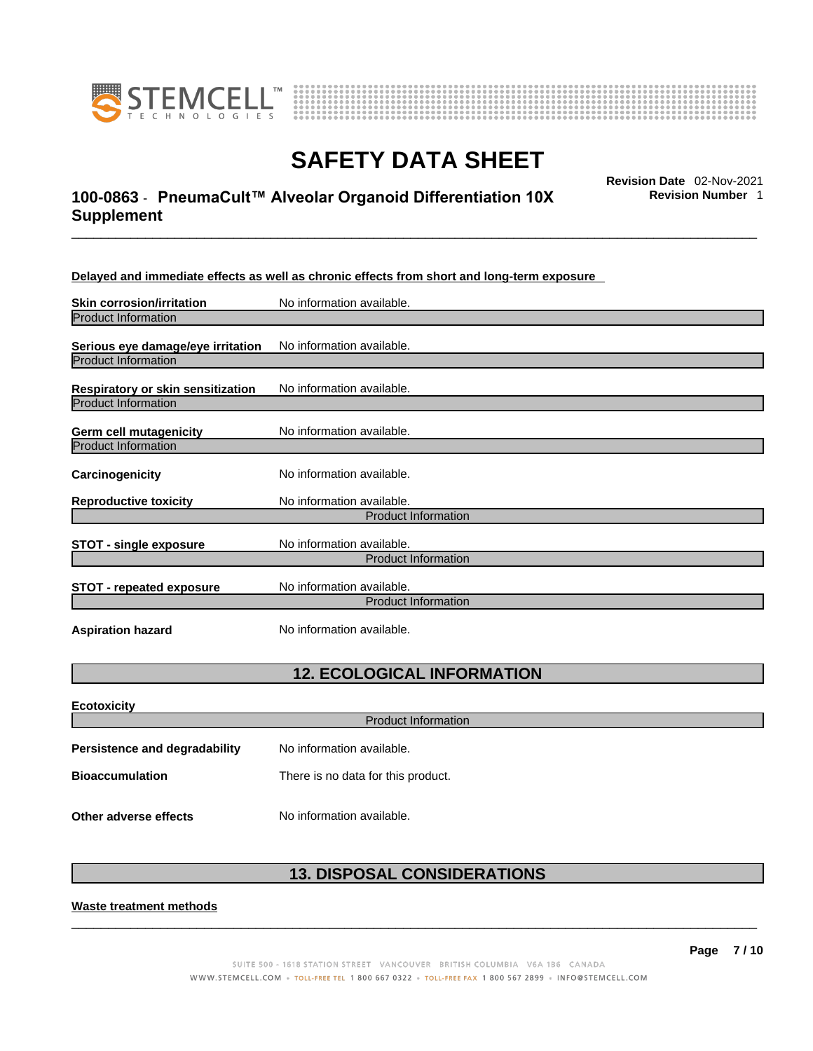



# \_\_\_\_\_\_\_\_\_\_\_\_\_\_\_\_\_\_\_\_\_\_\_\_\_\_\_\_\_\_\_\_\_\_\_\_\_\_\_\_\_\_\_\_\_\_\_\_\_\_\_\_\_\_\_\_\_\_\_\_\_\_\_\_\_\_\_\_\_\_\_\_\_\_\_\_\_\_\_\_\_\_\_\_\_\_\_\_\_\_\_\_\_ **Revision Date** 02-Nov-2021 **100-0863** - **PneumaCult™ Alveolar Organoid Differentiation 10X Supplement**

**Revision Number** 1

**Delayed and immediate effects as well as chronic effects from short and long-term exposure**

| <b>Skin corrosion/irritation</b>                                | No information available.                               |
|-----------------------------------------------------------------|---------------------------------------------------------|
| <b>Product Information</b>                                      |                                                         |
| Serious eye damage/eye irritation<br><b>Product Information</b> | No information available.                               |
| Respiratory or skin sensitization<br><b>Product Information</b> | No information available.                               |
| Germ cell mutagenicity<br><b>Product Information</b>            | No information available.                               |
| Carcinogenicity                                                 | No information available.                               |
| <b>Reproductive toxicity</b>                                    | No information available.<br><b>Product Information</b> |
|                                                                 |                                                         |
| <b>STOT - single exposure</b>                                   | No information available.<br><b>Product Information</b> |
|                                                                 |                                                         |
| <b>STOT - repeated exposure</b>                                 | No information available.<br><b>Product Information</b> |
|                                                                 |                                                         |
| <b>Aspiration hazard</b>                                        | No information available.                               |

## **12. ECOLOGICAL INFORMATION**

| <b>Ecotoxicity</b>                   |                                    |  |
|--------------------------------------|------------------------------------|--|
| <b>Product Information</b>           |                                    |  |
| <b>Persistence and degradability</b> | No information available.          |  |
| <b>Bioaccumulation</b>               | There is no data for this product. |  |
| Other adverse effects                | No information available.          |  |

## **13. DISPOSAL CONSIDERATIONS**

 $\_$  ,  $\_$  ,  $\_$  ,  $\_$  ,  $\_$  ,  $\_$  ,  $\_$  ,  $\_$  ,  $\_$  ,  $\_$  ,  $\_$  ,  $\_$  ,  $\_$  ,  $\_$  ,  $\_$  ,  $\_$  ,  $\_$  ,  $\_$  ,  $\_$  ,  $\_$  ,  $\_$  ,  $\_$  ,  $\_$  ,  $\_$  ,  $\_$  ,  $\_$  ,  $\_$  ,  $\_$  ,  $\_$  ,  $\_$  ,  $\_$  ,  $\_$  ,  $\_$  ,  $\_$  ,  $\_$  ,  $\_$  ,  $\_$  ,

### **Waste treatment methods**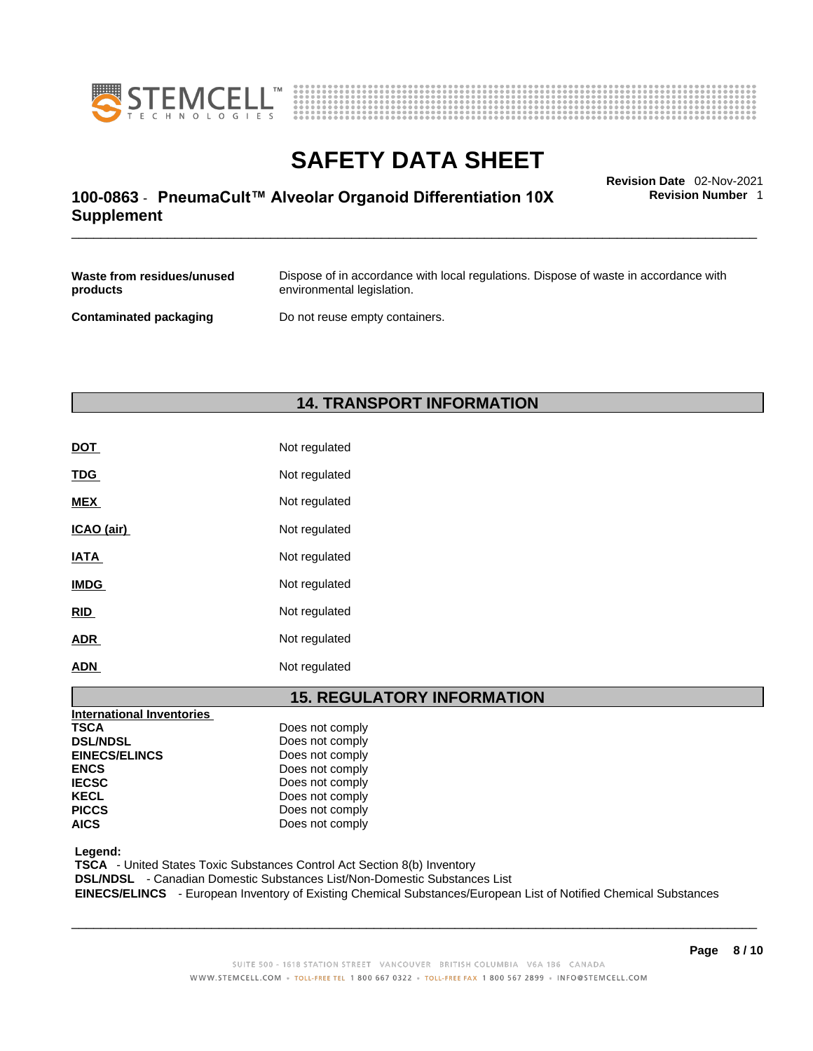



# \_\_\_\_\_\_\_\_\_\_\_\_\_\_\_\_\_\_\_\_\_\_\_\_\_\_\_\_\_\_\_\_\_\_\_\_\_\_\_\_\_\_\_\_\_\_\_\_\_\_\_\_\_\_\_\_\_\_\_\_\_\_\_\_\_\_\_\_\_\_\_\_\_\_\_\_\_\_\_\_\_\_\_\_\_\_\_\_\_\_\_\_\_ **Revision Date** 02-Nov-2021 **100-0863** - **PneumaCult™ Alveolar Organoid Differentiation 10X Supplement**

**Revision Number** 1

| Waste from residues/unused    | Dispose of in accordance with local regulations. Dispose of waste in accordance with |
|-------------------------------|--------------------------------------------------------------------------------------|
| products                      | environmental legislation.                                                           |
| <b>Contaminated packaging</b> | Do not reuse empty containers.                                                       |

## **14. TRANSPORT INFORMATION**

| <b>DOT</b>  | Not regulated |
|-------------|---------------|
| <b>TDG</b>  | Not regulated |
| <b>MEX</b>  | Not regulated |
| ICAO (air)  | Not regulated |
| <b>IATA</b> | Not regulated |
| <b>IMDG</b> | Not regulated |
| <b>RID</b>  | Not regulated |
| <b>ADR</b>  | Not regulated |
| <b>ADN</b>  | Not regulated |

## **15. REGULATORY INFORMATION**

| International Inventories |                 |  |
|---------------------------|-----------------|--|
| <b>TSCA</b>               | Does not comply |  |
| <b>DSL/NDSL</b>           | Does not comply |  |
| <b>EINECS/ELINCS</b>      | Does not comply |  |
| <b>ENCS</b>               | Does not comply |  |
| <b>IECSC</b>              | Does not comply |  |
| <b>KECL</b>               | Does not comply |  |
| <b>PICCS</b>              | Does not comply |  |
| <b>AICS</b>               | Does not comply |  |
|                           |                 |  |

 **Legend:** 

 **TSCA** - United States Toxic Substances Control Act Section 8(b) Inventory

 **DSL/NDSL** - Canadian Domestic Substances List/Non-Domestic Substances List

 **EINECS/ELINCS** - European Inventory of Existing Chemical Substances/European List of Notified Chemical Substances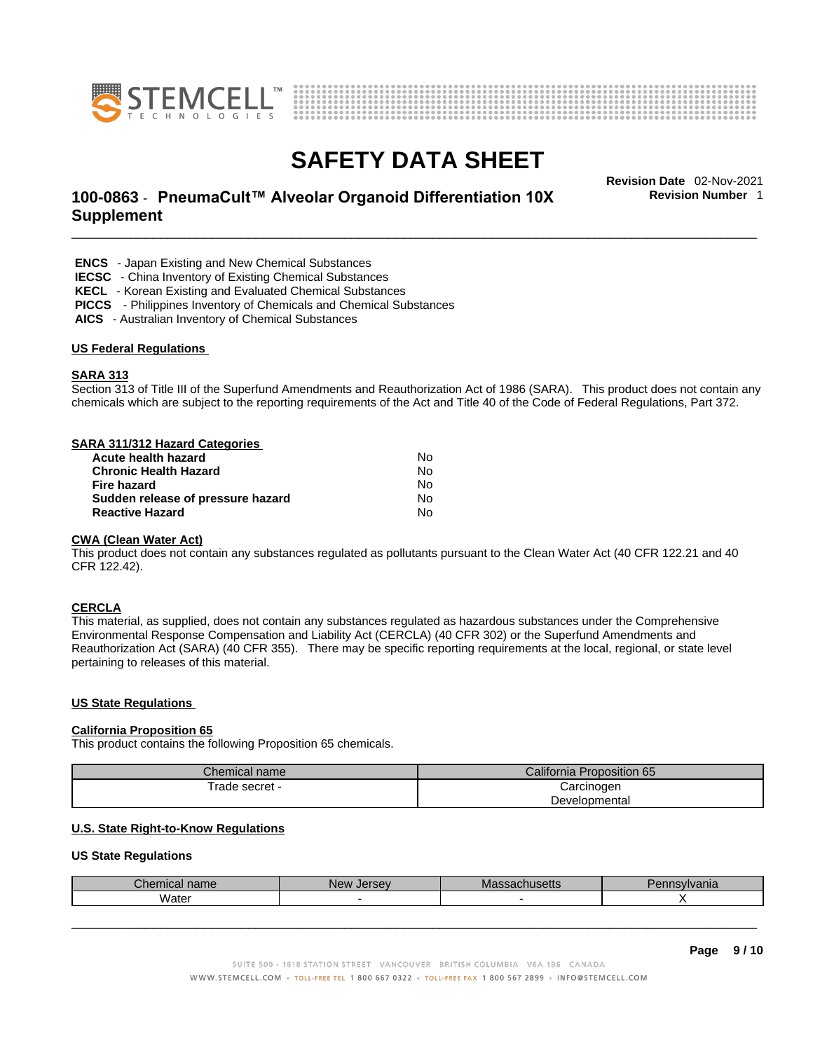



# \_\_\_\_\_\_\_\_\_\_\_\_\_\_\_\_\_\_\_\_\_\_\_\_\_\_\_\_\_\_\_\_\_\_\_\_\_\_\_\_\_\_\_\_\_\_\_\_\_\_\_\_\_\_\_\_\_\_\_\_\_\_\_\_\_\_\_\_\_\_\_\_\_\_\_\_\_\_\_\_\_\_\_\_\_\_\_\_\_\_\_\_\_ **Revision Date** 02-Nov-2021 **100-0863** - **PneumaCult™ Alveolar Organoid Differentiation 10X Supplement**

**Revision Number** 1

 **ENCS** - Japan Existing and New Chemical Substances

 **IECSC** - China Inventory of Existing Chemical Substances

 **KECL** - Korean Existing and Evaluated Chemical Substances

 **PICCS** - Philippines Inventory of Chemicals and Chemical Substances

 **AICS** - Australian Inventory of Chemical Substances

#### **US Federal Regulations**

#### **SARA 313**

Section 313 of Title III of the Superfund Amendments and Reauthorization Act of 1986 (SARA). This product does not contain any chemicals which are subject to the reporting requirements of the Act and Title 40 of the Code of Federal Regulations, Part 372.

#### **SARA 311/312 Hazard Categories**

| Acute health hazard               | Nο |  |
|-----------------------------------|----|--|
| <b>Chronic Health Hazard</b>      | N٥ |  |
| Fire hazard                       | N٥ |  |
| Sudden release of pressure hazard | N٥ |  |
| <b>Reactive Hazard</b>            | N٥ |  |

#### **CWA** (Clean Water Act)

This product does not contain any substances regulated as pollutants pursuant to the Clean Water Act (40 CFR 122.21 and 40 CFR 122.42).

#### **CERCLA**

This material, as supplied, does not contain any substances regulated as hazardous substances under the Comprehensive Environmental Response Compensation and Liability Act (CERCLA) (40 CFR 302) or the Superfund Amendments and Reauthorization Act (SARA) (40 CFR 355). There may be specific reporting requirements at the local, regional, or state level pertaining to releases of this material.

#### **US State Regulations**

#### **California Proposition 65**

This product contains the following Proposition 65 chemicals.

| Chemical name  | California Proposition 65 |  |
|----------------|---------------------------|--|
| Trade secret - | Carcinogen                |  |
|                | Developmental             |  |

### **U.S. State Right-to-Know Regulations**

#### **US State Regulations**

| $1$ ham<br>$-$<br>Παπι<br>ынышы | $m \sim$<br>New<br>Je<br>1Sev | . n<br>™J∪llo<br>. | 'Vania |
|---------------------------------|-------------------------------|--------------------|--------|
| Wate                            |                               |                    |        |